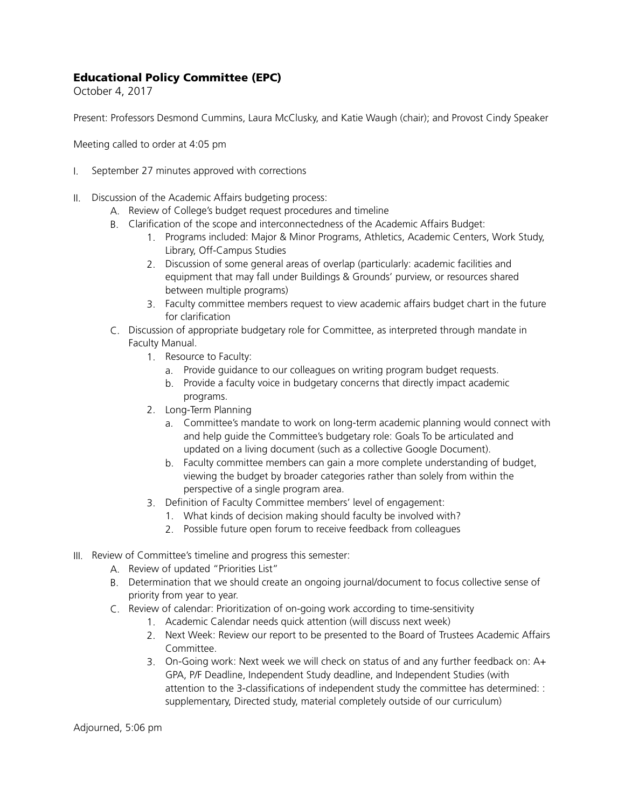## Educational Policy Committee (EPC)

October 4, 2017

Present: Professors Desmond Cummins, Laura McClusky, and Katie Waugh (chair); and Provost Cindy Speaker

Meeting called to order at 4:05 pm

- I. September 27 minutes approved with corrections
- II. Discussion of the Academic Affairs budgeting process:
	- A. Review of College's budget request procedures and timeline
	- B. Clarification of the scope and interconnectedness of the Academic Affairs Budget:
		- 1. Programs included: Major & Minor Programs, Athletics, Academic Centers, Work Study, Library, Off-Campus Studies
		- 2. Discussion of some general areas of overlap (particularly: academic facilities and equipment that may fall under Buildings & Grounds' purview, or resources shared between multiple programs)
		- 3. Faculty committee members request to view academic affairs budget chart in the future for clarification
	- C. Discussion of appropriate budgetary role for Committee, as interpreted through mandate in Faculty Manual.
		- 1. Resource to Faculty:
			- a. Provide guidance to our colleagues on writing program budget requests.
			- b. Provide a faculty voice in budgetary concerns that directly impact academic programs.
		- 2. Long-Term Planning
			- a. Committee's mandate to work on long-term academic planning would connect with and help guide the Committee's budgetary role: Goals To be articulated and updated on a living document (such as a collective Google Document).
			- b. Faculty committee members can gain a more complete understanding of budget, viewing the budget by broader categories rather than solely from within the perspective of a single program area.
		- 3. Definition of Faculty Committee members' level of engagement:
			- 1. What kinds of decision making should faculty be involved with?
			- 2. Possible future open forum to receive feedback from colleagues
- III. Review of Committee's timeline and progress this semester:
	- A. Review of updated "Priorities List"
	- B. Determination that we should create an ongoing journal/document to focus collective sense of priority from year to year.
	- C. Review of calendar: Prioritization of on-going work according to time-sensitivity
		- 1. Academic Calendar needs quick attention (will discuss next week)
		- 2. Next Week: Review our report to be presented to the Board of Trustees Academic Affairs Committee.
		- 3. On-Going work: Next week we will check on status of and any further feedback on: A+ GPA, P/F Deadline, Independent Study deadline, and Independent Studies (with attention to the 3-classifications of independent study the committee has determined: : supplementary, Directed study, material completely outside of our curriculum)